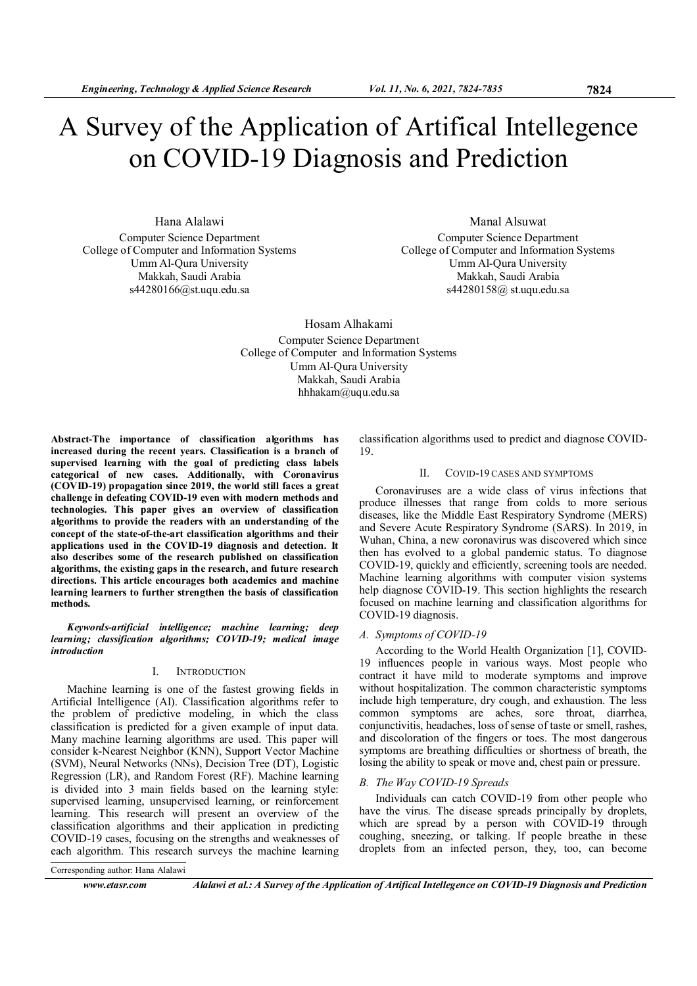# A Survey of the Application of Artifical Intellegence on COVID-19 Diagnosis and Prediction

Hana Alalawi Computer Science Department College of Computer and Information Systems Umm Al-Qura University Makkah, Saudi Arabia s44280166@st.uqu.edu.sa

Manal Alsuwat Computer Science Department College of Computer and Information Systems Umm Al-Qura University Makkah, Saudi Arabia s44280158@ st.uqu.edu.sa

Hosam Alhakami Computer Science Department College of Computer and Information Systems Umm Al-Qura University Makkah, Saudi Arabia hhhakam@uqu.edu.sa

Abstract-The importance of classification algorithms has increased during the recent years. Classification is a branch of supervised learning with the goal of predicting class labels categorical of new cases. Additionally, with Coronavirus (COVID-19) propagation since 2019, the world still faces a great challenge in defeating COVID-19 even with modern methods and technologies. This paper gives an overview of classification algorithms to provide the readers with an understanding of the concept of the state-of-the-art classification algorithms and their applications used in the COVID-19 diagnosis and detection. It also describes some of the research published on classification algorithms, the existing gaps in the research, and future research directions. This article encourages both academics and machine learning learners to further strengthen the basis of classification methods.

Keywords-artificial intelligence; machine learning; deep learning; classification algorithms; COVID-19; medical image introduction

# I. INTRODUCTION

Machine learning is one of the fastest growing fields in Artificial Intelligence (AI). Classification algorithms refer to the problem of predictive modeling, in which the class classification is predicted for a given example of input data. Many machine learning algorithms are used. This paper will consider k-Nearest Neighbor (KNN), Support Vector Machine (SVM), Neural Networks (NNs), Decision Tree (DT), Logistic Regression (LR), and Random Forest (RF). Machine learning is divided into 3 main fields based on the learning style: supervised learning, unsupervised learning, or reinforcement learning. This research will present an overview of the classification algorithms and their application in predicting COVID-19 cases, focusing on the strengths and weaknesses of each algorithm. This research surveys the machine learning

classification algorithms used to predict and diagnose COVID-19.

# II. COVID-19 CASES AND SYMPTOMS

Coronaviruses are a wide class of virus infections that produce illnesses that range from colds to more serious diseases, like the Middle East Respiratory Syndrome (MERS) and Severe Acute Respiratory Syndrome (SARS). In 2019, in Wuhan, China, a new coronavirus was discovered which since then has evolved to a global pandemic status. To diagnose COVID-19, quickly and efficiently, screening tools are needed. Machine learning algorithms with computer vision systems help diagnose COVID-19. This section highlights the research focused on machine learning and classification algorithms for COVID-19 diagnosis.

## A. Symptoms of COVID-19

According to the World Health Organization [1], COVID-19 influences people in various ways. Most people who contract it have mild to moderate symptoms and improve without hospitalization. The common characteristic symptoms include high temperature, dry cough, and exhaustion. The less common symptoms are aches, sore throat, diarrhea, conjunctivitis, headaches, loss of sense of taste or smell, rashes, and discoloration of the fingers or toes. The most dangerous symptoms are breathing difficulties or shortness of breath, the losing the ability to speak or move and, chest pain or pressure.

# B. The Way COVID-19 Spreads

Individuals can catch COVID-19 from other people who have the virus. The disease spreads principally by droplets, which are spread by a person with COVID-19 through coughing, sneezing, or talking. If people breathe in these droplets from an infected person, they, too, can become

Corresponding author: Hana Alalawi

www.etasr.com Alalawi et al.: A Survey of the Application of Artifical Intellegence on COVID-19 Diagnosis and Prediction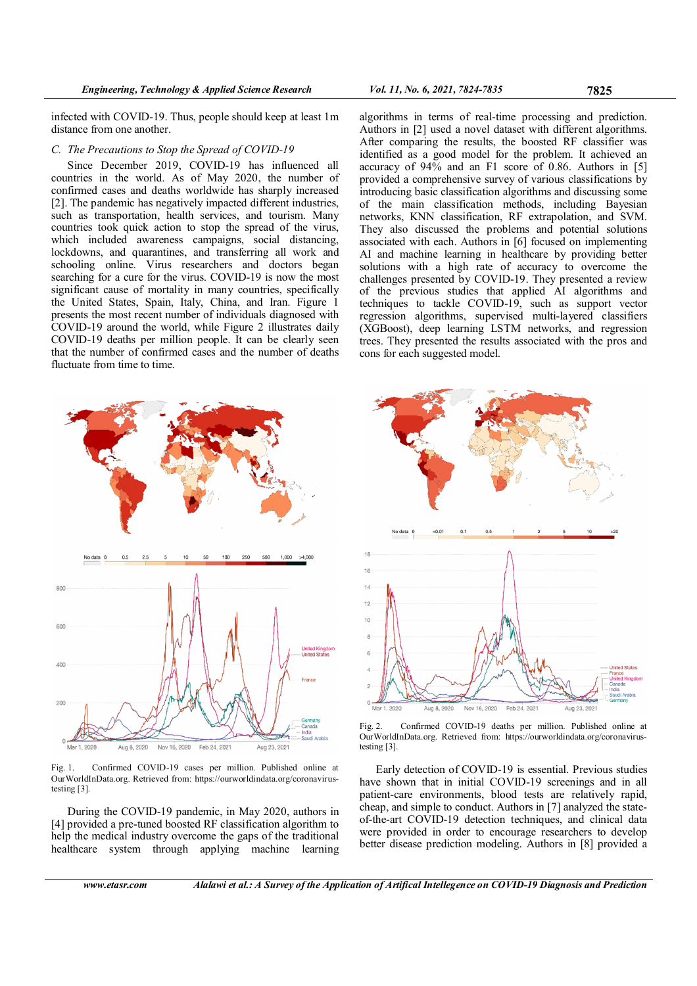infected with COVID-19. Thus, people should keep at least 1m distance from one another.

## C. The Precautions to Stop the Spread of COVID-19

Since December 2019, COVID-19 has influenced all countries in the world. As of May 2020, the number of confirmed cases and deaths worldwide has sharply increased [2]. The pandemic has negatively impacted different industries, such as transportation, health services, and tourism. Many countries took quick action to stop the spread of the virus, which included awareness campaigns, social distancing, lockdowns, and quarantines, and transferring all work and schooling online. Virus researchers and doctors began searching for a cure for the virus. COVID-19 is now the most significant cause of mortality in many countries, specifically the United States, Spain, Italy, China, and Iran. Figure 1 presents the most recent number of individuals diagnosed with COVID-19 around the world, while Figure 2 illustrates daily COVID-19 deaths per million people. It can be clearly seen that the number of confirmed cases and the number of deaths fluctuate from time to time.



Fig. 1. Confirmed COVID-19 cases per million. Published online at OurWorldInData.org. Retrieved from: https://ourworldindata.org/coronavirustesting [3].

During the COVID-19 pandemic, in May 2020, authors in [4] provided a pre-tuned boosted RF classification algorithm to help the medical industry overcome the gaps of the traditional healthcare system through applying machine learning

algorithms in terms of real-time processing and prediction. Authors in [2] used a novel dataset with different algorithms. After comparing the results, the boosted RF classifier was identified as a good model for the problem. It achieved an accuracy of 94% and an F1 score of 0.86. Authors in [5] provided a comprehensive survey of various classifications by introducing basic classification algorithms and discussing some of the main classification methods, including Bayesian networks, KNN classification, RF extrapolation, and SVM. They also discussed the problems and potential solutions associated with each. Authors in [6] focused on implementing AI and machine learning in healthcare by providing better solutions with a high rate of accuracy to overcome the challenges presented by COVID-19. They presented a review of the previous studies that applied AI algorithms and techniques to tackle COVID-19, such as support vector regression algorithms, supervised multi-layered classifiers (XGBoost), deep learning LSTM networks, and regression trees. They presented the results associated with the pros and cons for each suggested model.





Early detection of COVID-19 is essential. Previous studies have shown that in initial COVID-19 screenings and in all patient-care environments, blood tests are relatively rapid, cheap, and simple to conduct. Authors in [7] analyzed the stateof-the-art COVID-19 detection techniques, and clinical data were provided in order to encourage researchers to develop better disease prediction modeling. Authors in [8] provided a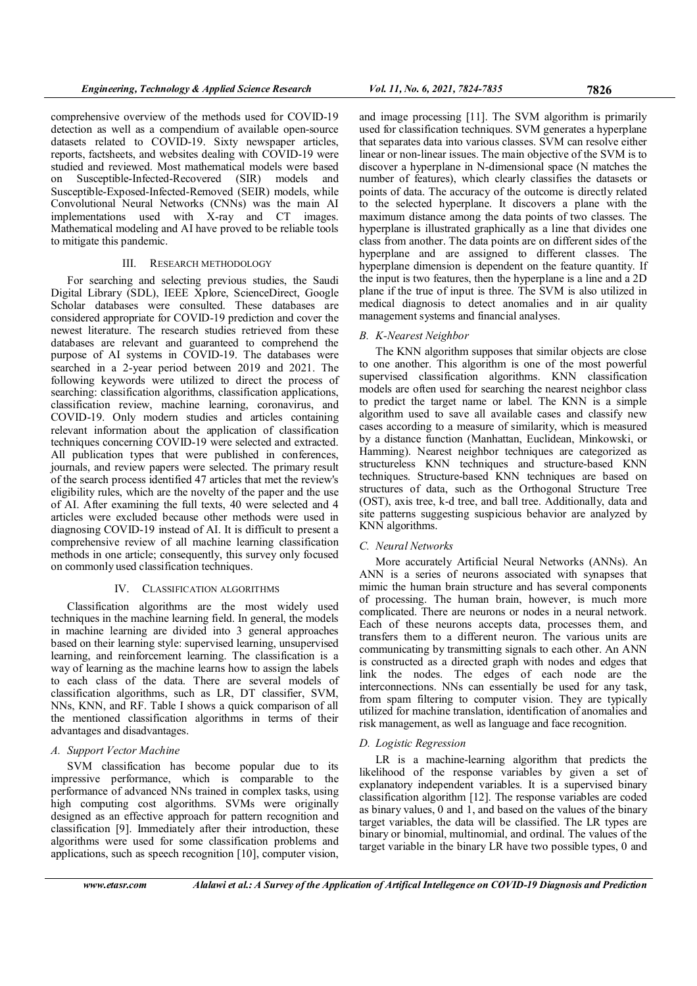comprehensive overview of the methods used for COVID-19 detection as well as a compendium of available open-source datasets related to COVID-19. Sixty newspaper articles, reports, factsheets, and websites dealing with COVID-19 were studied and reviewed. Most mathematical models were based on Susceptible-Infected-Recovered (SIR) models and Susceptible-Exposed-Infected-Removed (SEIR) models, while Convolutional Neural Networks (CNNs) was the main AI implementations used with X-ray and CT images. Mathematical modeling and AI have proved to be reliable tools to mitigate this pandemic.

# III. RESEARCH METHODOLOGY

For searching and selecting previous studies, the Saudi Digital Library (SDL), IEEE Xplore, ScienceDirect, Google Scholar databases were consulted. These databases are considered appropriate for COVID-19 prediction and cover the newest literature. The research studies retrieved from these databases are relevant and guaranteed to comprehend the purpose of AI systems in COVID-19. The databases were searched in a 2-year period between 2019 and 2021. The following keywords were utilized to direct the process of searching: classification algorithms, classification applications, classification review, machine learning, coronavirus, and COVID-19. Only modern studies and articles containing relevant information about the application of classification techniques concerning COVID-19 were selected and extracted. All publication types that were published in conferences, journals, and review papers were selected. The primary result of the search process identified 47 articles that met the review's eligibility rules, which are the novelty of the paper and the use of AI. After examining the full texts, 40 were selected and 4 articles were excluded because other methods were used in diagnosing COVID-19 instead of AI. It is difficult to present a comprehensive review of all machine learning classification methods in one article; consequently, this survey only focused on commonly used classification techniques.

# IV. CLASSIFICATION ALGORITHMS

Classification algorithms are the most widely used techniques in the machine learning field. In general, the models in machine learning are divided into 3 general approaches based on their learning style: supervised learning, unsupervised learning, and reinforcement learning. The classification is a way of learning as the machine learns how to assign the labels to each class of the data. There are several models of classification algorithms, such as LR, DT classifier, SVM, NNs, KNN, and RF. Table I shows a quick comparison of all the mentioned classification algorithms in terms of their advantages and disadvantages.

# A. Support Vector Machine

SVM classification has become popular due to its impressive performance, which is comparable to the performance of advanced NNs trained in complex tasks, using high computing cost algorithms. SVMs were originally designed as an effective approach for pattern recognition and classification [9]. Immediately after their introduction, these algorithms were used for some classification problems and applications, such as speech recognition [10], computer vision,

and image processing [11]. The SVM algorithm is primarily used for classification techniques. SVM generates a hyperplane that separates data into various classes. SVM can resolve either linear or non-linear issues. The main objective of the SVM is to discover a hyperplane in N-dimensional space (N matches the number of features), which clearly classifies the datasets or points of data. The accuracy of the outcome is directly related to the selected hyperplane. It discovers a plane with the maximum distance among the data points of two classes. The hyperplane is illustrated graphically as a line that divides one class from another. The data points are on different sides of the hyperplane and are assigned to different classes. The hyperplane dimension is dependent on the feature quantity. If the input is two features, then the hyperplane is a line and a 2D

# B. K-Nearest Neighbor

management systems and financial analyses.

The KNN algorithm supposes that similar objects are close to one another. This algorithm is one of the most powerful supervised classification algorithms. KNN classification models are often used for searching the nearest neighbor class to predict the target name or label. The KNN is a simple algorithm used to save all available cases and classify new cases according to a measure of similarity, which is measured by a distance function (Manhattan, Euclidean, Minkowski, or Hamming). Nearest neighbor techniques are categorized as structureless KNN techniques and structure-based KNN techniques. Structure-based KNN techniques are based on structures of data, such as the Orthogonal Structure Tree (OST), axis tree, k-d tree, and ball tree. Additionally, data and site patterns suggesting suspicious behavior are analyzed by KNN algorithms.

plane if the true of input is three. The SVM is also utilized in medical diagnosis to detect anomalies and in air quality

# C. Neural Networks

More accurately Artificial Neural Networks (ANNs). An ANN is a series of neurons associated with synapses that mimic the human brain structure and has several components of processing. The human brain, however, is much more complicated. There are neurons or nodes in a neural network. Each of these neurons accepts data, processes them, and transfers them to a different neuron. The various units are communicating by transmitting signals to each other. An ANN is constructed as a directed graph with nodes and edges that link the nodes. The edges of each node are the interconnections. NNs can essentially be used for any task, from spam filtering to computer vision. They are typically utilized for machine translation, identification of anomalies and risk management, as well as language and face recognition.

# D. Logistic Regression

LR is a machine-learning algorithm that predicts the likelihood of the response variables by given a set of explanatory independent variables. It is a supervised binary classification algorithm [12]. The response variables are coded as binary values, 0 and 1, and based on the values of the binary target variables, the data will be classified. The LR types are binary or binomial, multinomial, and ordinal. The values of the target variable in the binary LR have two possible types, 0 and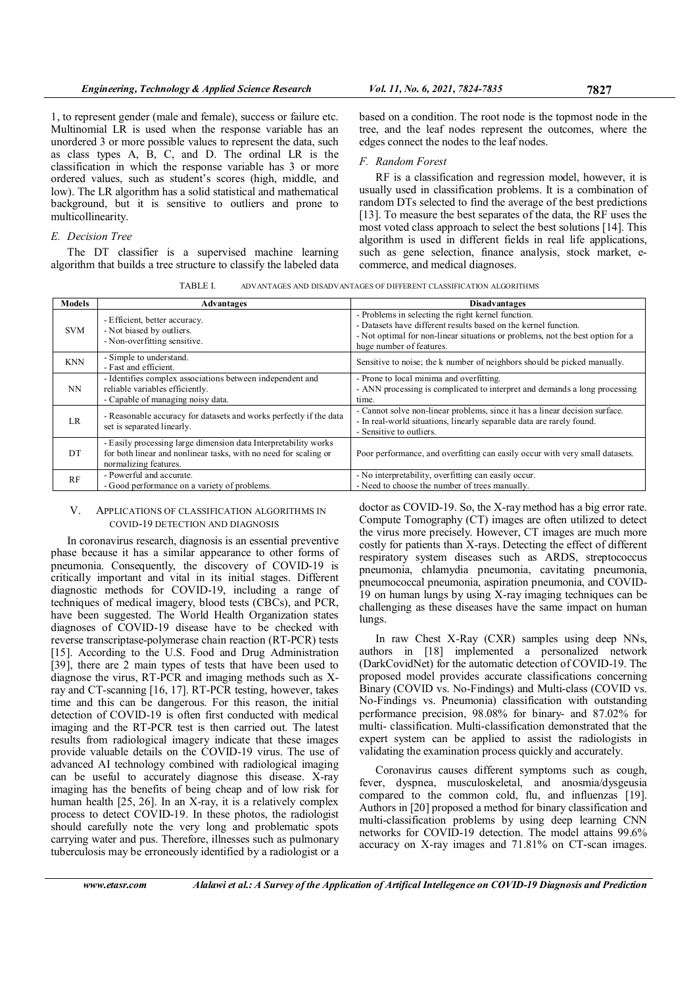1, to represent gender (male and female), success or failure etc. Multinomial LR is used when the response variable has an unordered 3 or more possible values to represent the data, such as class types A, B, C, and D. The ordinal LR is the classification in which the response variable has 3 or more ordered values, such as student's scores (high, middle, and low). The LR algorithm has a solid statistical and mathematical background, but it is sensitive to outliers and prone to multicollinearity.

# E. Decision Tree

The DT classifier is a supervised machine learning algorithm that builds a tree structure to classify the labeled data

based on a condition. The root node is the topmost node in the tree, and the leaf nodes represent the outcomes, where the edges connect the nodes to the leaf nodes.

# F. Random Forest

RF is a classification and regression model, however, it is usually used in classification problems. It is a combination of random DTs selected to find the average of the best predictions [13]. To measure the best separates of the data, the RF uses the most voted class approach to select the best solutions [14]. This algorithm is used in different fields in real life applications, such as gene selection, finance analysis, stock market, ecommerce, and medical diagnoses.

TABLE I. ADVANTAGES AND DISADVANTAGES OF DIFFERENT CLASSIFICATION ALGORITHMS

| <b>Models</b> | Advantages                                                                                                                                                   | <b>Disadvantages</b>                                                                                                                                                                                                                |
|---------------|--------------------------------------------------------------------------------------------------------------------------------------------------------------|-------------------------------------------------------------------------------------------------------------------------------------------------------------------------------------------------------------------------------------|
| <b>SVM</b>    | - Efficient, better accuracy.<br>- Not biased by outliers.<br>- Non-overfitting sensitive.                                                                   | - Problems in selecting the right kernel function.<br>- Datasets have different results based on the kernel function.<br>- Not optimal for non-linear situations or problems, not the best option for a<br>huge number of features. |
| <b>KNN</b>    | - Simple to understand.<br>- Fast and efficient.                                                                                                             | Sensitive to noise; the k number of neighbors should be picked manually.                                                                                                                                                            |
| <b>NN</b>     | - Identifies complex associations between independent and<br>reliable variables efficiently.<br>- Capable of managing noisy data.                            | - Prone to local minima and overfitting.<br>- ANN processing is complicated to interpret and demands a long processing<br>time.                                                                                                     |
| LR.           | - Reasonable accuracy for datasets and works perfectly if the data<br>set is separated linearly.                                                             | - Cannot solve non-linear problems, since it has a linear decision surface.<br>- In real-world situations, linearly separable data are rarely found.<br>- Sensitive to outliers.                                                    |
| DT            | - Easily processing large dimension data Interpretability works<br>for both linear and nonlinear tasks, with no need for scaling or<br>normalizing features. | Poor performance, and overfitting can easily occur with very small datasets.                                                                                                                                                        |
| <b>RF</b>     | - Powerful and accurate.<br>- Good performance on a variety of problems.                                                                                     | - No interpretability, overfitting can easily occur.<br>- Need to choose the number of trees manually.                                                                                                                              |

## V. APPLICATIONS OF CLASSIFICATION ALGORITHMS IN COVID-19 DETECTION AND DIAGNOSIS

In coronavirus research, diagnosis is an essential preventive phase because it has a similar appearance to other forms of pneumonia. Consequently, the discovery of COVID-19 is critically important and vital in its initial stages. Different diagnostic methods for COVID-19, including a range of techniques of medical imagery, blood tests (CBCs), and PCR, have been suggested. The World Health Organization states diagnoses of COVID-19 disease have to be checked with reverse transcriptase-polymerase chain reaction (RT-PCR) tests [15]. According to the U.S. Food and Drug Administration [39], there are 2 main types of tests that have been used to diagnose the virus, RT-PCR and imaging methods such as Xray and CT-scanning [16, 17]. RT-PCR testing, however, takes time and this can be dangerous. For this reason, the initial detection of COVID-19 is often first conducted with medical imaging and the RT-PCR test is then carried out. The latest results from radiological imagery indicate that these images provide valuable details on the COVID-19 virus. The use of advanced AI technology combined with radiological imaging can be useful to accurately diagnose this disease. X-ray imaging has the benefits of being cheap and of low risk for human health [25, 26]. In an X-ray, it is a relatively complex process to detect COVID-19. In these photos, the radiologist should carefully note the very long and problematic spots carrying water and pus. Therefore, illnesses such as pulmonary tuberculosis may be erroneously identified by a radiologist or a

doctor as COVID-19. So, the X-ray method has a big error rate. Compute Tomography (CT) images are often utilized to detect the virus more precisely. However, CT images are much more costly for patients than X-rays. Detecting the effect of different respiratory system diseases such as ARDS, streptococcus pneumonia, chlamydia pneumonia, cavitating pneumonia, pneumococcal pneumonia, aspiration pneumonia, and COVID-19 on human lungs by using  $\overline{X}$ -ray imaging techniques can be challenging as these diseases have the same impact on human lungs.

In raw Chest X-Ray (CXR) samples using deep NNs, authors in [18] implemented a personalized network (DarkCovidNet) for the automatic detection of COVID-19. The proposed model provides accurate classifications concerning Binary (COVID vs. No-Findings) and Multi-class (COVID vs. No-Findings vs. Pneumonia) classification with outstanding performance precision, 98.08% for binary- and 87.02% for multi- classification. Multi-classification demonstrated that the expert system can be applied to assist the radiologists in validating the examination process quickly and accurately.

Coronavirus causes different symptoms such as cough, fever, dyspnea, musculoskeletal, and anosmia/dysgeusia compared to the common cold, flu, and influenzas [19]. Authors in [20] proposed a method for binary classification and multi-classification problems by using deep learning CNN networks for COVID-19 detection. The model attains 99.6% accuracy on X-ray images and 71.81% on CT-scan images.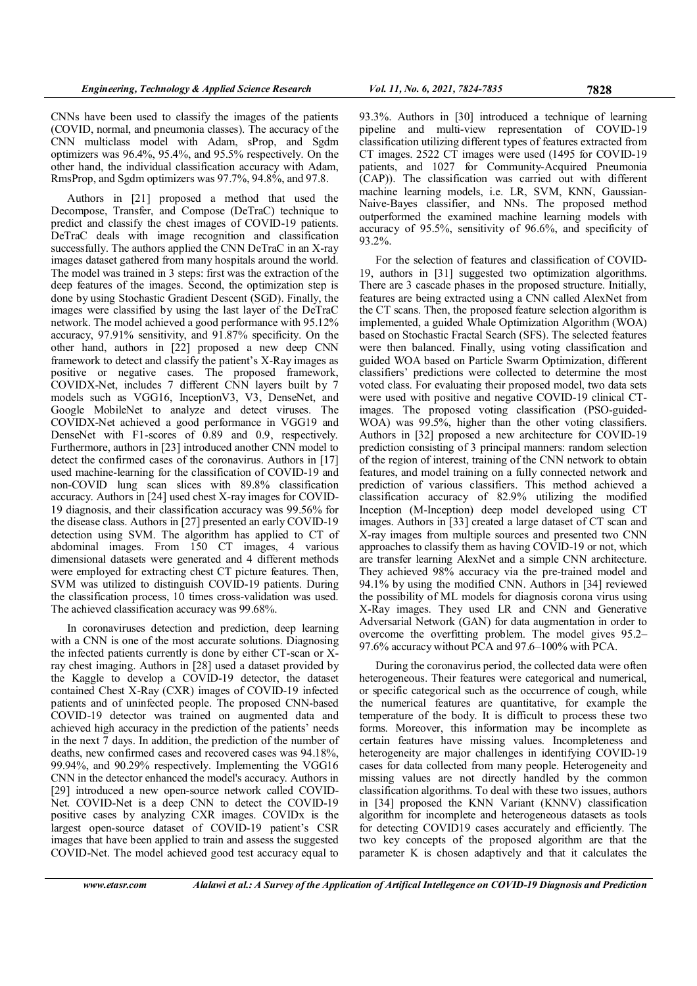CNNs have been used to classify the images of the patients (COVID, normal, and pneumonia classes). The accuracy of the CNN multiclass model with Adam, sProp, and Sgdm optimizers was 96.4%, 95.4%, and 95.5% respectively. On the other hand, the individual classification accuracy with Adam, RmsProp, and Sgdm optimizers was 97.7%, 94.8%, and 97.8.

Authors in [21] proposed a method that used the Decompose, Transfer, and Compose (DeTraC) technique to predict and classify the chest images of COVID-19 patients. DeTraC deals with image recognition and classification successfully. The authors applied the CNN DeTraC in an X-ray images dataset gathered from many hospitals around the world. The model was trained in 3 steps: first was the extraction of the deep features of the images. Second, the optimization step is done by using Stochastic Gradient Descent (SGD). Finally, the images were classified by using the last layer of the DeTraC network. The model achieved a good performance with 95.12% accuracy, 97.91% sensitivity, and 91.87% specificity. On the other hand, authors in [22] proposed a new deep CNN framework to detect and classify the patient's X-Ray images as positive or negative cases. The proposed framework, COVIDX-Net, includes 7 different CNN layers built by 7 models such as VGG16, InceptionV3, V3, DenseNet, and Google MobileNet to analyze and detect viruses. The COVIDX-Net achieved a good performance in VGG19 and DenseNet with F1-scores of 0.89 and 0.9, respectively. Furthermore, authors in [23] introduced another CNN model to detect the confirmed cases of the coronavirus. Authors in [17] used machine-learning for the classification of COVID-19 and non-COVID lung scan slices with 89.8% classification accuracy. Authors in [24] used chest X-ray images for COVID-19 diagnosis, and their classification accuracy was 99.56% for the disease class. Authors in [27] presented an early COVID-19 detection using SVM. The algorithm has applied to CT of abdominal images. From 150 CT images, 4 various dimensional datasets were generated and 4 different methods were employed for extracting chest CT picture features. Then, SVM was utilized to distinguish COVID-19 patients. During the classification process, 10 times cross-validation was used. The achieved classification accuracy was 99.68%.

In coronaviruses detection and prediction, deep learning with a CNN is one of the most accurate solutions. Diagnosing the infected patients currently is done by either CT-scan or Xray chest imaging. Authors in [28] used a dataset provided by the Kaggle to develop a COVID-19 detector, the dataset contained Chest X-Ray (CXR) images of COVID-19 infected patients and of uninfected people. The proposed CNN-based COVID-19 detector was trained on augmented data and achieved high accuracy in the prediction of the patients' needs in the next 7 days. In addition, the prediction of the number of deaths, new confirmed cases and recovered cases was 94.18%, 99.94%, and 90.29% respectively. Implementing the VGG16 CNN in the detector enhanced the model's accuracy. Authors in [29] introduced a new open-source network called COVID-Net. COVID-Net is a deep CNN to detect the COVID-19 positive cases by analyzing CXR images. COVIDx is the largest open-source dataset of COVID-19 patient's CSR images that have been applied to train and assess the suggested COVID-Net. The model achieved good test accuracy equal to

93.3%. Authors in [30] introduced a technique of learning pipeline and multi-view representation of COVID-19 classification utilizing different types of features extracted from CT images. 2522 CT images were used (1495 for COVID-19 patients, and 1027 for Community-Acquired Pneumonia (CAP)). The classification was carried out with different machine learning models, i.e. LR, SVM, KNN, Gaussian-Naive-Bayes classifier, and NNs. The proposed method outperformed the examined machine learning models with accuracy of 95.5%, sensitivity of 96.6%, and specificity of 93.2%.

For the selection of features and classification of COVID-19, authors in [31] suggested two optimization algorithms. There are 3 cascade phases in the proposed structure. Initially, features are being extracted using a CNN called AlexNet from the CT scans. Then, the proposed feature selection algorithm is implemented, a guided Whale Optimization Algorithm (WOA) based on Stochastic Fractal Search (SFS). The selected features were then balanced. Finally, using voting classification and guided WOA based on Particle Swarm Optimization, different classifiers' predictions were collected to determine the most voted class. For evaluating their proposed model, two data sets were used with positive and negative COVID-19 clinical CTimages. The proposed voting classification (PSO-guided-WOA) was 99.5%, higher than the other voting classifiers. Authors in [32] proposed a new architecture for COVID-19 prediction consisting of 3 principal manners: random selection of the region of interest, training of the CNN network to obtain features, and model training on a fully connected network and prediction of various classifiers. This method achieved a classification accuracy of 82.9% utilizing the modified Inception (M-Inception) deep model developed using CT images. Authors in [33] created a large dataset of CT scan and X-ray images from multiple sources and presented two CNN approaches to classify them as having COVID-19 or not, which are transfer learning AlexNet and a simple CNN architecture. They achieved 98% accuracy via the pre-trained model and 94.1% by using the modified CNN. Authors in [34] reviewed the possibility of ML models for diagnosis corona virus using X-Ray images. They used LR and CNN and Generative Adversarial Network (GAN) for data augmentation in order to overcome the overfitting problem. The model gives 95.2– 97.6% accuracy without PCA and 97.6–100% with PCA.

During the coronavirus period, the collected data were often heterogeneous. Their features were categorical and numerical, or specific categorical such as the occurrence of cough, while the numerical features are quantitative, for example the temperature of the body. It is difficult to process these two forms. Moreover, this information may be incomplete as certain features have missing values. Incompleteness and heterogeneity are major challenges in identifying COVID-19 cases for data collected from many people. Heterogeneity and missing values are not directly handled by the common classification algorithms. To deal with these two issues, authors in [34] proposed the KNN Variant (KNNV) classification algorithm for incomplete and heterogeneous datasets as tools for detecting COVID19 cases accurately and efficiently. The two key concepts of the proposed algorithm are that the parameter K is chosen adaptively and that it calculates the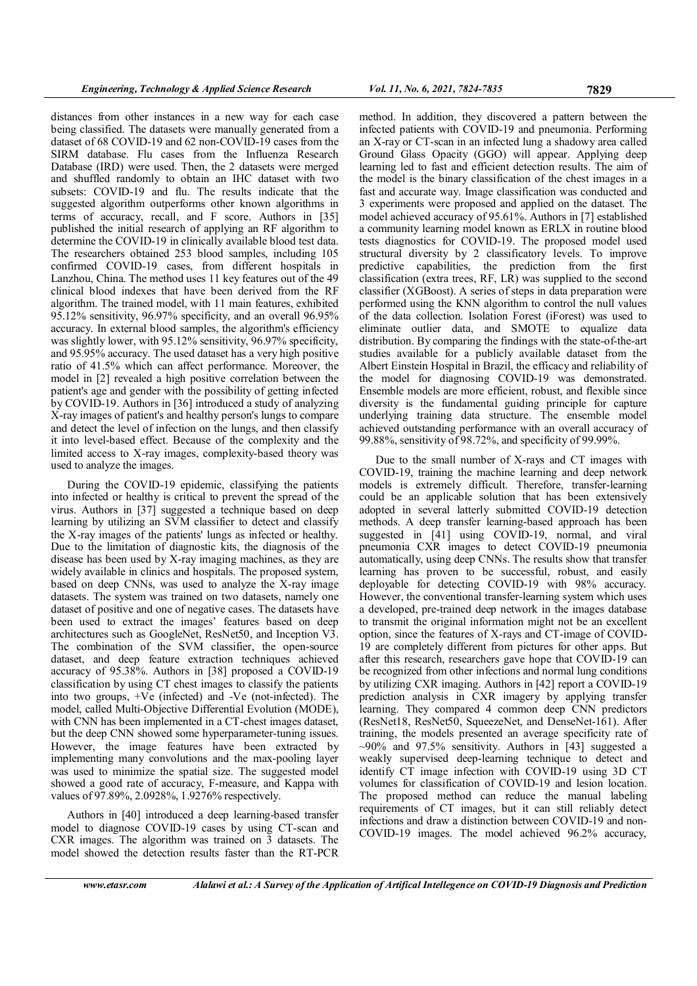distances from other instances in a new way for each case being classified. The datasets were manually generated from a dataset of 68 COVID-19 and 62 non-COVID-19 cases from the SIRM database. Flu cases from the Influenza Research Database (IRD) were used. Then, the 2 datasets were merged and shuffled randomly to obtain an IHC dataset with two subsets: COVID-19 and flu. The results indicate that the suggested algorithm outperforms other known algorithms in terms of accuracy, recall, and F score. Authors in [35] published the initial research of applying an RF algorithm to determine the COVID-19 in clinically available blood test data. The researchers obtained 253 blood samples, including 105 confirmed COVID-19 cases, from different hospitals in Lanzhou, China. The method uses 11 key features out of the 49 clinical blood indexes that have been derived from the RF algorithm. The trained model, with 11 main features, exhibited 95.12% sensitivity, 96.97% specificity, and an overall 96.95% accuracy. In external blood samples, the algorithm's efficiency was slightly lower, with 95.12% sensitivity, 96.97% specificity, and 95.95% accuracy. The used dataset has a very high positive ratio of 41.5% which can affect performance. Moreover, the model in [2] revealed a high positive correlation between the patient's age and gender with the possibility of getting infected by COVID-19. Authors in [36] introduced a study of analyzing X-ray images of patient's and healthy person's lungs to compare and detect the level of infection on the lungs, and then classify it into level-based effect. Because of the complexity and the limited access to X-ray images, complexity-based theory was used to analyze the images.

During the COVID-19 epidemic, classifying the patients into infected or healthy is critical to prevent the spread of the virus. Authors in [37] suggested a technique based on deep learning by utilizing an SVM classifier to detect and classify the X-ray images of the patients' lungs as infected or healthy. Due to the limitation of diagnostic kits, the diagnosis of the disease has been used by X-ray imaging machines, as they are widely available in clinics and hospitals. The proposed system, based on deep CNNs, was used to analyze the X-ray image datasets. The system was trained on two datasets, namely one dataset of positive and one of negative cases. The datasets have been used to extract the images' features based on deep architectures such as GoogleNet, ResNet50, and Inception V3. The combination of the SVM classifier, the open-source dataset, and deep feature extraction techniques achieved accuracy of 95.38%. Authors in [38] proposed a COVID-19 classification by using CT chest images to classify the patients into two groups, +Ve (infected) and -Ve (not-infected). The model, called Multi-Objective Differential Evolution (MODE), with CNN has been implemented in a CT-chest images dataset, but the deep CNN showed some hyperparameter-tuning issues. However, the image features have been extracted by implementing many convolutions and the max-pooling layer was used to minimize the spatial size. The suggested model showed a good rate of accuracy, F-measure, and Kappa with values of 97.89%, 2.0928%, 1.9276% respectively.

Authors in [40] introduced a deep learning-based transfer model to diagnose COVID-19 cases by using CT-scan and CXR images. The algorithm was trained on 3 datasets. The model showed the detection results faster than the RT-PCR

method. In addition, they discovered a pattern between the infected patients with COVID-19 and pneumonia. Performing an X-ray or CT-scan in an infected lung a shadowy area called Ground Glass Opacity (GGO) will appear. Applying deep learning led to fast and efficient detection results. The aim of the model is the binary classification of the chest images in a fast and accurate way. Image classification was conducted and 3 experiments were proposed and applied on the dataset. The model achieved accuracy of 95.61%. Authors in [7] established a community learning model known as ERLX in routine blood tests diagnostics for COVID-19. The proposed model used structural diversity by 2 classificatory levels. To improve predictive capabilities, the prediction from the first classification (extra trees, RF, LR) was supplied to the second classifier (XGBoost). A series of steps in data preparation were

performed using the KNN algorithm to control the null values of the data collection. Isolation Forest (iForest) was used to eliminate outlier data, and SMOTE to equalize data distribution. By comparing the findings with the state-of-the-art studies available for a publicly available dataset from the Albert Einstein Hospital in Brazil, the efficacy and reliability of the model for diagnosing COVID-19 was demonstrated. Ensemble models are more efficient, robust, and flexible since diversity is the fundamental guiding principle for capture underlying training data structure. The ensemble model achieved outstanding performance with an overall accuracy of 99.88%, sensitivity of 98.72%, and specificity of 99.99%.

Due to the small number of X-rays and CT images with COVID-19, training the machine learning and deep network models is extremely difficult. Therefore, transfer-learning could be an applicable solution that has been extensively adopted in several latterly submitted COVID-19 detection methods. A deep transfer learning-based approach has been suggested in [41] using COVID-19, normal, and viral pneumonia CXR images to detect COVID-19 pneumonia automatically, using deep CNNs. The results show that transfer learning has proven to be successful, robust, and easily deployable for detecting COVID-19 with 98% accuracy. However, the conventional transfer-learning system which uses a developed, pre-trained deep network in the images database to transmit the original information might not be an excellent option, since the features of X-rays and CT-image of COVID-19 are completely different from pictures for other apps. But after this research, researchers gave hope that COVID-19 can be recognized from other infections and normal lung conditions by utilizing CXR imaging. Authors in [42] report a COVID-19 prediction analysis in CXR imagery by applying transfer learning. They compared 4 common deep CNN predictors (ResNet18, ResNet50, SqueezeNet, and DenseNet-161). After training, the models presented an average specificity rate of  $\sim$ 90% and 97.5% sensitivity. Authors in [43] suggested a weakly supervised deep-learning technique to detect and identify CT image infection with COVID-19 using 3D CT volumes for classification of COVID-19 and lesion location. The proposed method can reduce the manual labeling requirements of CT images, but it can still reliably detect infections and draw a distinction between COVID-19 and non-COVID-19 images. The model achieved 96.2% accuracy,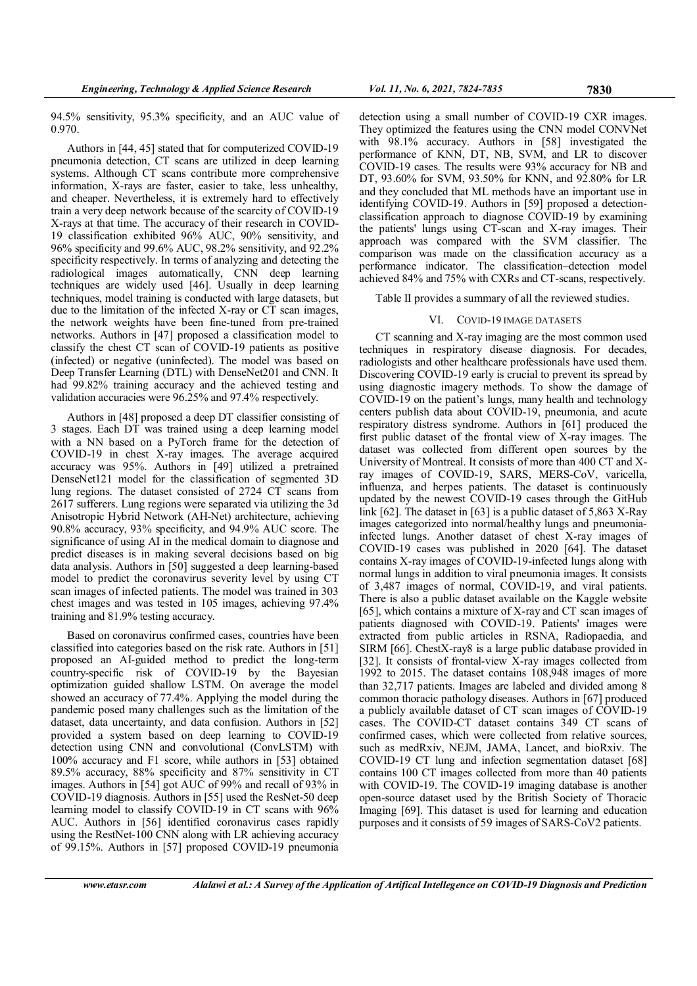94.5% sensitivity, 95.3% specificity, and an AUC value of 0.970.

Authors in [44, 45] stated that for computerized COVID-19 pneumonia detection, CT scans are utilized in deep learning systems. Although CT scans contribute more comprehensive information, X-rays are faster, easier to take, less unhealthy, and cheaper. Nevertheless, it is extremely hard to effectively train a very deep network because of the scarcity of COVID-19 X-rays at that time. The accuracy of their research in COVID-19 classification exhibited 96% AUC, 90% sensitivity, and 96% specificity and 99.6% AUC, 98.2% sensitivity, and 92.2% specificity respectively. In terms of analyzing and detecting the radiological images automatically, CNN deep learning techniques are widely used [46]. Usually in deep learning techniques, model training is conducted with large datasets, but due to the limitation of the infected X-ray or CT scan images, the network weights have been fine-tuned from pre-trained networks. Authors in [47] proposed a classification model to classify the chest CT scan of COVID-19 patients as positive (infected) or negative (uninfected). The model was based on Deep Transfer Learning (DTL) with DenseNet201 and CNN. It had 99.82% training accuracy and the achieved testing and validation accuracies were 96.25% and 97.4% respectively.

Authors in [48] proposed a deep DT classifier consisting of 3 stages. Each DT was trained using a deep learning model with a NN based on a PyTorch frame for the detection of COVID-19 in chest X-ray images. The average acquired accuracy was 95%. Authors in [49] utilized a pretrained DenseNet121 model for the classification of segmented 3D lung regions. The dataset consisted of 2724 CT scans from 2617 sufferers. Lung regions were separated via utilizing the 3d Anisotropic Hybrid Network (AH-Net) architecture, achieving 90.8% accuracy, 93% specificity, and 94.9% AUC score. The significance of using AI in the medical domain to diagnose and predict diseases is in making several decisions based on big data analysis. Authors in [50] suggested a deep learning-based model to predict the coronavirus severity level by using CT scan images of infected patients. The model was trained in 303 chest images and was tested in 105 images, achieving 97.4% training and 81.9% testing accuracy.

Based on coronavirus confirmed cases, countries have been classified into categories based on the risk rate. Authors in [51] proposed an AI-guided method to predict the long-term country-specific risk of COVID-19 by the Bayesian optimization guided shallow LSTM. On average the model showed an accuracy of 77.4%. Applying the model during the pandemic posed many challenges such as the limitation of the dataset, data uncertainty, and data confusion. Authors in [52] provided a system based on deep learning to COVID-19 detection using CNN and convolutional (ConvLSTM) with 100% accuracy and F1 score, while authors in [53] obtained 89.5% accuracy, 88% specificity and 87% sensitivity in CT images. Authors in [54] got AUC of 99% and recall of 93% in COVID-19 diagnosis. Authors in [55] used the ResNet-50 deep learning model to classify COVID-19 in CT scans with 96% AUC. Authors in [56] identified coronavirus cases rapidly using the RestNet-100 CNN along with LR achieving accuracy of 99.15%. Authors in [57] proposed COVID-19 pneumonia detection using a small number of COVID-19 CXR images. They optimized the features using the CNN model CONVNet with 98.1% accuracy. Authors in [58] investigated the performance of KNN, DT, NB, SVM, and LR to discover COVID-19 cases. The results were 93% accuracy for NB and DT, 93.60% for SVM, 93.50% for KNN, and 92.80% for LR and they concluded that ML methods have an important use in identifying COVID-19. Authors in [59] proposed a detectionclassification approach to diagnose COVID-19 by examining the patients' lungs using CT-scan and X-ray images. Their approach was compared with the SVM classifier. The comparison was made on the classification accuracy as a performance indicator. The classification–detection model achieved 84% and 75% with CXRs and CT-scans, respectively.

Table II provides a summary of all the reviewed studies.

#### VI. COVID-19 IMAGE DATASETS

CT scanning and X-ray imaging are the most common used techniques in respiratory disease diagnosis. For decades, radiologists and other healthcare professionals have used them. Discovering COVID-19 early is crucial to prevent its spread by using diagnostic imagery methods. To show the damage of COVID-19 on the patient's lungs, many health and technology centers publish data about COVID-19, pneumonia, and acute respiratory distress syndrome. Authors in [61] produced the first public dataset of the frontal view of X-ray images. The dataset was collected from different open sources by the University of Montreal. It consists of more than 400 CT and Xray images of COVID-19, SARS, MERS-CoV, varicella, influenza, and herpes patients. The dataset is continuously updated by the newest COVID-19 cases through the GitHub link [62]. The dataset in [63] is a public dataset of 5,863 X-Ray images categorized into normal/healthy lungs and pneumoniainfected lungs. Another dataset of chest X-ray images of COVID-19 cases was published in 2020 [64]. The dataset contains X-ray images of COVID-19-infected lungs along with normal lungs in addition to viral pneumonia images. It consists of 3,487 images of normal, COVID-19, and viral patients. There is also a public dataset available on the Kaggle website [65], which contains a mixture of X-ray and CT scan images of patients diagnosed with COVID-19. Patients' images were extracted from public articles in RSNA, Radiopaedia, and SIRM [66]. ChestX-ray8 is a large public database provided in [32]. It consists of frontal-view X-ray images collected from 1992 to 2015. The dataset contains 108,948 images of more than 32,717 patients. Images are labeled and divided among 8 common thoracic pathology diseases. Authors in [67] produced a publicly available dataset of CT scan images of COVID-19 cases. The COVID-CT dataset contains 349 CT scans of confirmed cases, which were collected from relative sources, such as medRxiv, NEJM, JAMA, Lancet, and bioRxiv. The COVID-19 CT lung and infection segmentation dataset [68] contains 100 CT images collected from more than 40 patients with COVID-19. The COVID-19 imaging database is another open-source dataset used by the British Society of Thoracic Imaging [69]. This dataset is used for learning and education purposes and it consists of 59 images of SARS-CoV2 patients.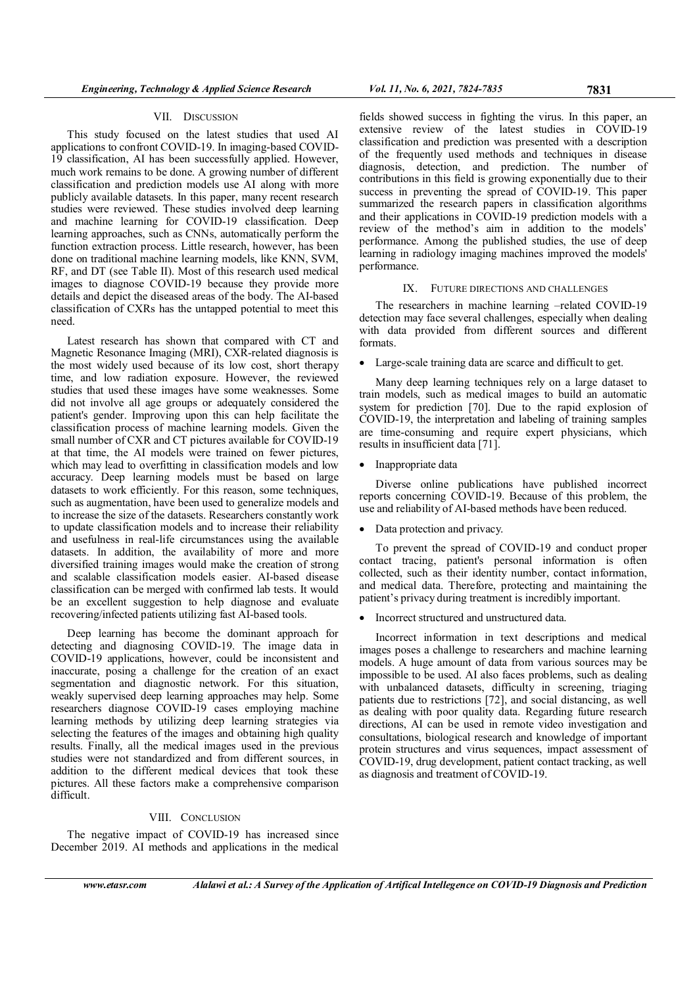## VII. DISCUSSION

This study focused on the latest studies that used AI applications to confront COVID-19. In imaging-based COVID-19 classification, AI has been successfully applied. However, much work remains to be done. A growing number of different classification and prediction models use AI along with more publicly available datasets. In this paper, many recent research studies were reviewed. These studies involved deep learning and machine learning for COVID-19 classification. Deep learning approaches, such as CNNs, automatically perform the function extraction process. Little research, however, has been done on traditional machine learning models, like KNN, SVM, RF, and DT (see Table II). Most of this research used medical images to diagnose COVID-19 because they provide more details and depict the diseased areas of the body. The AI-based classification of CXRs has the untapped potential to meet this need.

Latest research has shown that compared with CT and Magnetic Resonance Imaging (MRI), CXR-related diagnosis is the most widely used because of its low cost, short therapy time, and low radiation exposure. However, the reviewed studies that used these images have some weaknesses. Some did not involve all age groups or adequately considered the patient's gender. Improving upon this can help facilitate the classification process of machine learning models. Given the small number of CXR and CT pictures available for COVID-19 at that time, the AI models were trained on fewer pictures, which may lead to overfitting in classification models and low accuracy. Deep learning models must be based on large datasets to work efficiently. For this reason, some techniques, such as augmentation, have been used to generalize models and to increase the size of the datasets. Researchers constantly work to update classification models and to increase their reliability and usefulness in real-life circumstances using the available datasets. In addition, the availability of more and more diversified training images would make the creation of strong and scalable classification models easier. AI-based disease classification can be merged with confirmed lab tests. It would be an excellent suggestion to help diagnose and evaluate recovering/infected patients utilizing fast AI-based tools.

Deep learning has become the dominant approach for detecting and diagnosing COVID-19. The image data in COVID-19 applications, however, could be inconsistent and inaccurate, posing a challenge for the creation of an exact segmentation and diagnostic network. For this situation, weakly supervised deep learning approaches may help. Some researchers diagnose COVID-19 cases employing machine learning methods by utilizing deep learning strategies via selecting the features of the images and obtaining high quality results. Finally, all the medical images used in the previous studies were not standardized and from different sources, in addition to the different medical devices that took these pictures. All these factors make a comprehensive comparison difficult.

# VIII. CONCLUSION

The negative impact of COVID-19 has increased since December 2019. AI methods and applications in the medical

fields showed success in fighting the virus. In this paper, an extensive review of the latest studies in COVID-19 classification and prediction was presented with a description of the frequently used methods and techniques in disease diagnosis, detection, and prediction. The number of contributions in this field is growing exponentially due to their success in preventing the spread of COVID-19. This paper summarized the research papers in classification algorithms and their applications in COVID-19 prediction models with a review of the method's aim in addition to the models' performance. Among the published studies, the use of deep learning in radiology imaging machines improved the models' performance.

## IX. FUTURE DIRECTIONS AND CHALLENGES

The researchers in machine learning –related COVID-19 detection may face several challenges, especially when dealing with data provided from different sources and different formats.

• Large-scale training data are scarce and difficult to get.

Many deep learning techniques rely on a large dataset to train models, such as medical images to build an automatic system for prediction [70]. Due to the rapid explosion of COVID-19, the interpretation and labeling of training samples are time-consuming and require expert physicians, which results in insufficient data [71].

• Inappropriate data

Diverse online publications have published incorrect reports concerning COVID-19. Because of this problem, the use and reliability of AI-based methods have been reduced.

• Data protection and privacy.

To prevent the spread of COVID-19 and conduct proper contact tracing, patient's personal information is often collected, such as their identity number, contact information, and medical data. Therefore, protecting and maintaining the patient's privacy during treatment is incredibly important.

• Incorrect structured and unstructured data.

Incorrect information in text descriptions and medical images poses a challenge to researchers and machine learning models. A huge amount of data from various sources may be impossible to be used. AI also faces problems, such as dealing with unbalanced datasets, difficulty in screening, triaging patients due to restrictions [72], and social distancing, as well as dealing with poor quality data. Regarding future research directions, AI can be used in remote video investigation and consultations, biological research and knowledge of important protein structures and virus sequences, impact assessment of COVID-19, drug development, patient contact tracking, as well as diagnosis and treatment of COVID-19.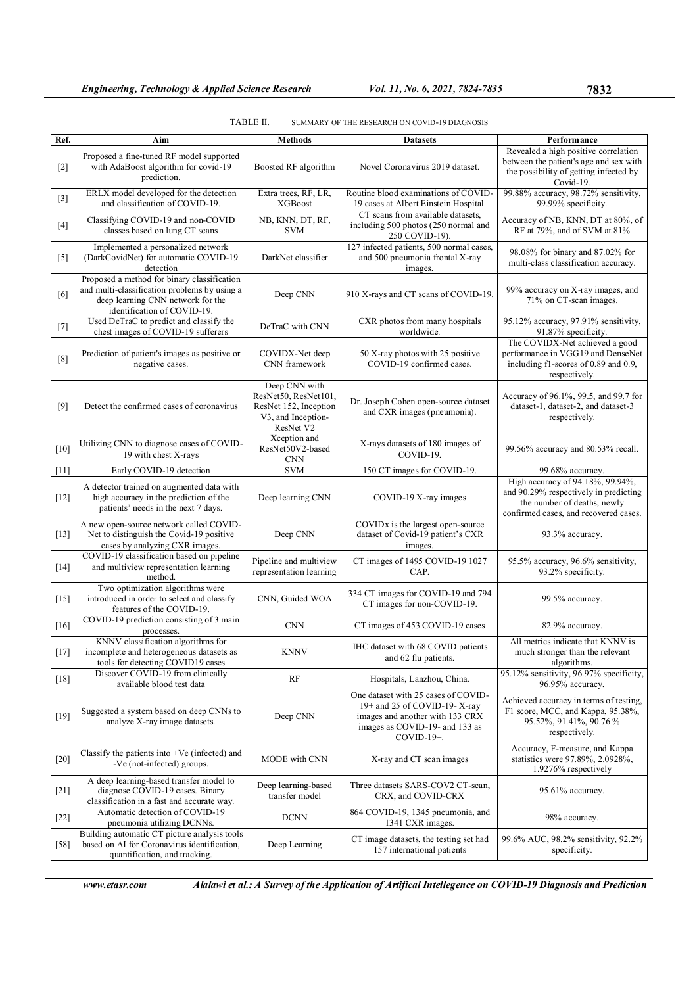|        |                                                                                                                                                                 | TADLE 11.                                                                                         | SUMMARY OF THE RESEARCH ON COVID-19 DIAGNOSIS                                                                                                          |                                                                                                                                                   |
|--------|-----------------------------------------------------------------------------------------------------------------------------------------------------------------|---------------------------------------------------------------------------------------------------|--------------------------------------------------------------------------------------------------------------------------------------------------------|---------------------------------------------------------------------------------------------------------------------------------------------------|
| Ref.   | Aim                                                                                                                                                             | <b>Methods</b>                                                                                    | <b>Datasets</b>                                                                                                                                        | Performance<br>Revealed a high positive correlation                                                                                               |
| $[2]$  | Proposed a fine-tuned RF model supported<br>with AdaBoost algorithm for covid-19<br>prediction.                                                                 | Boosted RF algorithm                                                                              | Novel Coronavirus 2019 dataset.                                                                                                                        | between the patient's age and sex with<br>the possibility of getting infected by<br>Covid-19.                                                     |
| $[3]$  | ERLX model developed for the detection<br>and classification of COVID-19.                                                                                       | Extra trees, RF, LR,<br><b>XGBoost</b>                                                            | Routine blood examinations of COVID-<br>19 cases at Albert Einstein Hospital.                                                                          | 99.88% accuracy, 98.72% sensitivity,<br>99.99% specificity.                                                                                       |
| $[4]$  | Classifying COVID-19 and non-COVID<br>classes based on lung CT scans                                                                                            | NB, KNN, DT, RF,<br><b>SVM</b>                                                                    | CT scans from available datasets,<br>including 500 photos (250 normal and<br>250 COVID-19).                                                            | Accuracy of NB, KNN, DT at 80%, of<br>RF at 79%, and of SVM at 81%                                                                                |
| $[5]$  | Implemented a personalized network<br>(DarkCovidNet) for automatic COVID-19<br>detection                                                                        | DarkNet classifier                                                                                | 127 infected patients, 500 normal cases,<br>and 500 pneumonia frontal X-ray<br>images.                                                                 | 98.08% for binary and 87.02% for<br>multi-class classification accuracy.                                                                          |
| [6]    | Proposed a method for binary classification<br>and multi-classification problems by using a<br>deep learning CNN network for the<br>identification of COVID-19. | Deep CNN                                                                                          | 910 X-rays and CT scans of COVID-19.                                                                                                                   | 99% accuracy on X-ray images, and<br>71% on CT-scan images.                                                                                       |
| $[7]$  | Used DeTraC to predict and classify the<br>chest images of COVID-19 sufferers                                                                                   | DeTraC with CNN                                                                                   | CXR photos from many hospitals<br>worldwide.                                                                                                           | 95.12% accuracy, 97.91% sensitivity,<br>91.87% specificity.                                                                                       |
| [8]    | Prediction of patient's images as positive or<br>negative cases.                                                                                                | COVIDX-Net deep<br>CNN framework                                                                  | 50 X-ray photos with 25 positive<br>COVID-19 confirmed cases.                                                                                          | The COVIDX-Net achieved a good<br>performance in VGG19 and DenseNet<br>including f1-scores of 0.89 and 0.9,<br>respectively.                      |
| $[9]$  | Detect the confirmed cases of coronavirus                                                                                                                       | Deep CNN with<br>ResNet50, ResNet101,<br>ResNet 152, Inception<br>V3, and Inception-<br>ResNet V2 | Dr. Joseph Cohen open-source dataset<br>and CXR images (pneumonia).                                                                                    | Accuracy of 96.1%, 99.5, and 99.7 for<br>dataset-1, dataset-2, and dataset-3<br>respectively.                                                     |
| $[10]$ | Utilizing CNN to diagnose cases of COVID-<br>19 with chest X-rays                                                                                               | Xception and<br>ResNet50V2-based<br><b>CNN</b>                                                    | X-rays datasets of 180 images of<br>COVID-19.                                                                                                          | 99.56% accuracy and 80.53% recall.                                                                                                                |
| $[11]$ | Early COVID-19 detection                                                                                                                                        | <b>SVM</b>                                                                                        | 150 CT images for COVID-19.                                                                                                                            | 99.68% accuracy.                                                                                                                                  |
| $[12]$ | A detector trained on augmented data with<br>high accuracy in the prediction of the<br>patients' needs in the next 7 days.                                      | Deep learning CNN                                                                                 | COVID-19 X-ray images                                                                                                                                  | High accuracy of 94.18%, 99.94%,<br>and 90.29% respectively in predicting<br>the number of deaths, newly<br>confirmed cases, and recovered cases. |
| $[13]$ | A new open-source network called COVID-<br>Net to distinguish the Covid-19 positive<br>cases by analyzing CXR images.                                           | Deep CNN                                                                                          | COVIDx is the largest open-source<br>dataset of Covid-19 patient's CXR<br>images.                                                                      | 93.3% accuracy.                                                                                                                                   |
| $[14]$ | COVID-19 classification based on pipeline<br>and multiview representation learning<br>method.                                                                   | Pipeline and multiview<br>representation learning                                                 | CT images of 1495 COVID-19 1027<br>CAP.                                                                                                                | 95.5% accuracy, 96.6% sensitivity,<br>93.2% specificity.                                                                                          |
| $[15]$ | Two optimization algorithms were<br>introduced in order to select and classify<br>features of the COVID-19.                                                     | CNN, Guided WOA                                                                                   | 334 CT images for COVID-19 and 794<br>CT images for non-COVID-19.                                                                                      | 99.5% accuracy.                                                                                                                                   |
| $[16]$ | COVID-19 prediction consisting of 3 main<br>processes.                                                                                                          | <b>CNN</b>                                                                                        | CT images of 453 COVID-19 cases                                                                                                                        | 82.9% accuracy.                                                                                                                                   |
| $[17]$ | KNNV classification algorithms for<br>incomplete and heterogeneous datasets as<br>tools for detecting COVID19 cases                                             | KNNV                                                                                              | IHC dataset with 68 COVID patients<br>and 62 flu patients.                                                                                             | All metrics indicate that KNNV is<br>much stronger than the relevant<br>algorithms.                                                               |
| $[18]$ | Discover COVID-19 from clinically<br>available blood test data                                                                                                  | RF                                                                                                | Hospitals, Lanzhou, China.                                                                                                                             | 95.12% sensitivity, 96.97% specificity,<br>96.95% accuracy.                                                                                       |
| $[19]$ | Suggested a system based on deep CNNs to<br>analyze X-ray image datasets.                                                                                       | Deep CNN                                                                                          | One dataset with 25 cases of COVID-<br>19+ and 25 of COVID-19-X-ray<br>images and another with 133 CRX<br>images as COVID-19- and 133 as<br>COVID-19+. | Achieved accuracy in terms of testing,<br>F1 score, MCC, and Kappa, 95.38%,<br>95.52%, 91.41%, 90.76%<br>respectively.                            |
| $[20]$ | Classify the patients into $+Ve$ (infected) and<br>-Ve (not-infected) groups.                                                                                   | MODE with CNN                                                                                     | X-ray and CT scan images                                                                                                                               | Accuracy, F-measure, and Kappa<br>statistics were 97.89%, 2.0928%,<br>1.9276% respectively                                                        |
| $[21]$ | A deep learning-based transfer model to<br>diagnose COVID-19 cases. Binary<br>classification in a fast and accurate way.                                        | Deep learning-based<br>transfer model                                                             | Three datasets SARS-COV2 CT-scan,<br>CRX, and COVID-CRX                                                                                                | 95.61% accuracy.                                                                                                                                  |
| $[22]$ | Automatic detection of COVID-19<br>pneumonia utilizing DCNNs.                                                                                                   | <b>DCNN</b>                                                                                       | 864 COVID-19, 1345 pneumonia, and<br>1341 CXR images.                                                                                                  | 98% accuracy.                                                                                                                                     |
| $[58]$ | Building automatic CT picture analysis tools<br>based on AI for Coronavirus identification,<br>quantification, and tracking.                                    | Deep Learning                                                                                     | CT image datasets, the testing set had<br>157 international patients                                                                                   | 99.6% AUC, 98.2% sensitivity, 92.2%<br>specificity.                                                                                               |

| TABLE II. | SUMMARY OF THE RESEARCH ON COVID-19 DIAGNOSIS |  |
|-----------|-----------------------------------------------|--|
|           |                                               |  |

www.etasr.com Alalawi et al.: A Survey of the Application of Artifical Intellegence on COVID-19 Diagnosis and Prediction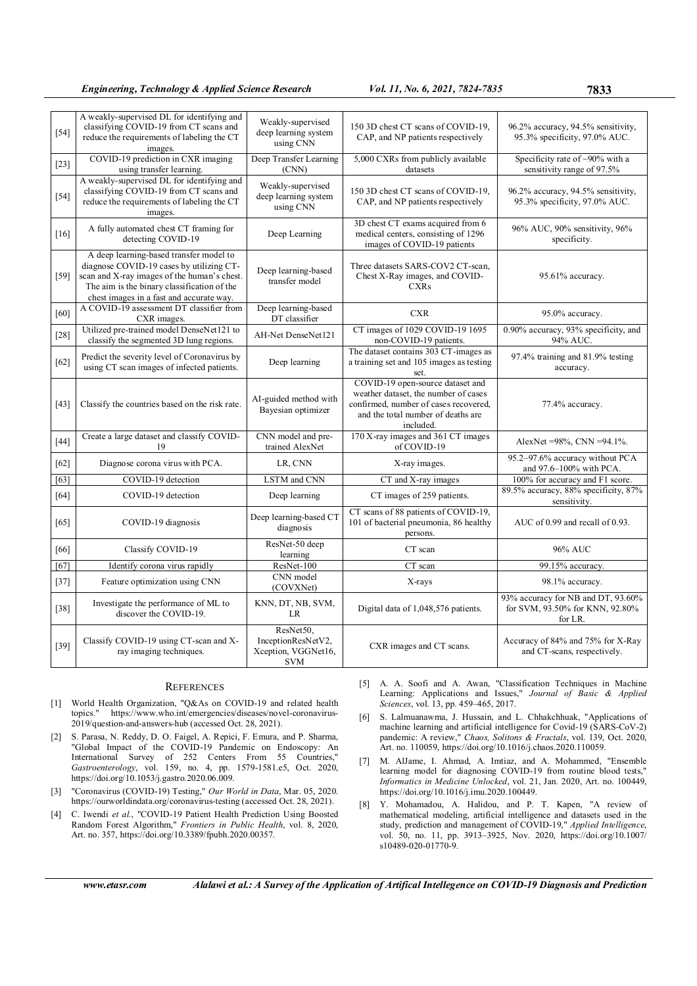| $[54]$ | A weakly-supervised DL for identifying and<br>classifying COVID-19 from CT scans and<br>reduce the requirements of labeling the CT<br>images.                                                                                 | Weakly-supervised<br>deep learning system<br>using CNN               | 150 3D chest CT scans of COVID-19.<br>CAP, and NP patients respectively                                                                                              | 96.2% accuracy, 94.5% sensitivity,<br>95.3% specificity, 97.0% AUC.              |
|--------|-------------------------------------------------------------------------------------------------------------------------------------------------------------------------------------------------------------------------------|----------------------------------------------------------------------|----------------------------------------------------------------------------------------------------------------------------------------------------------------------|----------------------------------------------------------------------------------|
| $[23]$ | COVID-19 prediction in CXR imaging<br>using transfer learning.                                                                                                                                                                | Deep Transfer Learning<br>(CNN)                                      | 5,000 CXRs from publicly available<br>datasets                                                                                                                       | Specificity rate of $\sim$ 90% with a<br>sensitivity range of 97.5%              |
| $[54]$ | A weakly-supervised DL for identifying and<br>classifying COVID-19 from CT scans and<br>reduce the requirements of labeling the CT<br>images.                                                                                 | Weakly-supervised<br>deep learning system<br>using CNN               | 150 3D chest CT scans of COVID-19.<br>CAP, and NP patients respectively                                                                                              | 96.2% accuracy, 94.5% sensitivity,<br>95.3% specificity, 97.0% AUC.              |
| $[16]$ | A fully automated chest CT framing for<br>detecting COVID-19                                                                                                                                                                  | Deep Learning                                                        | 3D chest CT exams acquired from 6<br>medical centers, consisting of 1296<br>images of COVID-19 patients                                                              | 96% AUC, 90% sensitivity, 96%<br>specificity.                                    |
| $[59]$ | A deep learning-based transfer model to<br>diagnose COVID-19 cases by utilizing CT-<br>scan and X-ray images of the human's chest.<br>The aim is the binary classification of the<br>chest images in a fast and accurate way. | Deep learning-based<br>transfer model                                | Three datasets SARS-COV2 CT-scan,<br>Chest X-Ray images, and COVID-<br><b>CXRs</b>                                                                                   | 95.61% accuracy.                                                                 |
| [60]   | A COVID-19 assessment DT classifier from<br>CXR images.                                                                                                                                                                       | Deep learning-based<br>DT classifier                                 | <b>CXR</b>                                                                                                                                                           | 95.0% accuracy.                                                                  |
| $[28]$ | Utilized pre-trained model DenseNet121 to<br>classify the segmented 3D lung regions.                                                                                                                                          | AH-Net DenseNet121                                                   | CT images of 1029 COVID-19 1695<br>non-COVID-19 patients.                                                                                                            | 0.90% accuracy, 93% specificity, and<br>94% AUC.                                 |
| [62]   | Predict the severity level of Coronavirus by<br>using CT scan images of infected patients.                                                                                                                                    | Deep learning                                                        | The dataset contains 303 CT-images as<br>a training set and 105 images as testing<br>set.                                                                            | 97.4% training and 81.9% testing<br>accuracy.                                    |
| [43]   | Classify the countries based on the risk rate.                                                                                                                                                                                | AI-guided method with<br>Bayesian optimizer                          | COVID-19 open-source dataset and<br>weather dataset, the number of cases<br>confirmed, number of cases recovered,<br>and the total number of deaths are<br>included. | 77.4% accuracy.                                                                  |
| $[44]$ | Create a large dataset and classify COVID-<br>19                                                                                                                                                                              | CNN model and pre-<br>trained AlexNet                                | 170 X-ray images and 361 CT images<br>of COVID-19                                                                                                                    | AlexNet =98%, CNN =94.1%.                                                        |
| $[62]$ | Diagnose corona virus with PCA.                                                                                                                                                                                               | LR, CNN                                                              | X-ray images.                                                                                                                                                        | 95.2-97.6% accuracy without PCA<br>and 97.6-100% with PCA.                       |
| [63]   | COVID-19 detection                                                                                                                                                                                                            | LSTM and CNN                                                         | CT and X-ray images                                                                                                                                                  | 100% for accuracy and F1 score.                                                  |
| $[64]$ | COVID-19 detection                                                                                                                                                                                                            | Deep learning                                                        | CT images of 259 patients.                                                                                                                                           | 89.5% accuracy, 88% specificity, 87%<br>sensitivity.                             |
| [65]   | COVID-19 diagnosis                                                                                                                                                                                                            | Deep learning-based CT<br>diagnosis                                  | CT scans of 88 patients of COVID-19,<br>101 of bacterial pneumonia, 86 healthy<br>persons.                                                                           | AUC of 0.99 and recall of 0.93.                                                  |
| [66]   | Classify COVID-19                                                                                                                                                                                                             | ResNet-50 deep<br>learning                                           | CT scan                                                                                                                                                              | 96% AUC                                                                          |
| [67]   | Identify corona virus rapidly                                                                                                                                                                                                 | $ResNet-100$                                                         | CT scan                                                                                                                                                              | 99.15% accuracy.                                                                 |
| $[37]$ | Feature optimization using CNN                                                                                                                                                                                                | CNN model<br>(COVXNet)                                               | X-rays                                                                                                                                                               | 98.1% accuracy.                                                                  |
| $[38]$ | Investigate the performance of ML to<br>discover the COVID-19.                                                                                                                                                                | KNN, DT, NB, SVM,<br>LR                                              | Digital data of 1,048,576 patients.                                                                                                                                  | 93% accuracy for NB and DT, 93.60%<br>for SVM, 93.50% for KNN, 92.80%<br>for LR. |
| $[39]$ | Classify COVID-19 using CT-scan and X-<br>ray imaging techniques.                                                                                                                                                             | ResNet50,<br>InceptionResNetV2,<br>Xception, VGGNet16,<br><b>SVM</b> | CXR images and CT scans.                                                                                                                                             | Accuracy of 84% and 75% for X-Ray<br>and CT-scans, respectively.                 |

## **REFERENCES**

- [1] World Health Organization, "Q&As on COVID-19 and related health topics." https://www.who.int/emergencies/diseases/novel-coronavirus-2019/question-and-answers-hub (accessed Oct. 28, 2021).
- [2] S. Parasa, N. Reddy, D. O. Faigel, A. Repici, F. Emura, and P. Sharma, "Global Impact of the COVID-19 Pandemic on Endoscopy: An International Survey of 252 Centers From 55 Countries," Gastroenterology, vol. 159, no. 4, pp. 1579-1581.e5, Oct. 2020, https://doi.org/10.1053/j.gastro.2020.06.009.
- [3] "Coronavirus (COVID-19) Testing," Our World in Data, Mar. 05, 2020. https://ourworldindata.org/coronavirus-testing (accessed Oct. 28, 2021).
- [4] C. Iwendi et al., "COVID-19 Patient Health Prediction Using Boosted Random Forest Algorithm," Frontiers in Public Health, vol. 8, 2020, Art. no. 357, https://doi.org/10.3389/fpubh.2020.00357.

[5] A. A. Soofi and A. Awan, "Classification Techniques in Machine Learning: Applications and Issues," Journal of Basic & Applied Sciences, vol. 13, pp. 459–465, 2017.

- [6] S. Lalmuanawma, J. Hussain, and L. Chhakchhuak, "Applications of machine learning and artificial intelligence for Covid-19 (SARS-CoV-2) pandemic: A review," Chaos, Solitons & Fractals, vol. 139, Oct. 2020, Art. no. 110059, https://doi.org/10.1016/j.chaos.2020.110059.
- [7] M. AlJame, I. Ahmad, A. Imtiaz, and A. Mohammed, "Ensemble learning model for diagnosing COVID-19 from routine blood tests," Informatics in Medicine Unlocked, vol. 21, Jan. 2020, Art. no. 100449, https://doi.org/10.1016/j.imu.2020.100449.
- [8] Y. Mohamadou, A. Halidou, and P. T. Kapen, "A review of mathematical modeling, artificial intelligence and datasets used in the study, prediction and management of COVID-19," Applied Intelligence, vol. 50, no. 11, pp. 3913–3925, Nov. 2020, https://doi.org/10.1007/ s10489-020-01770-9.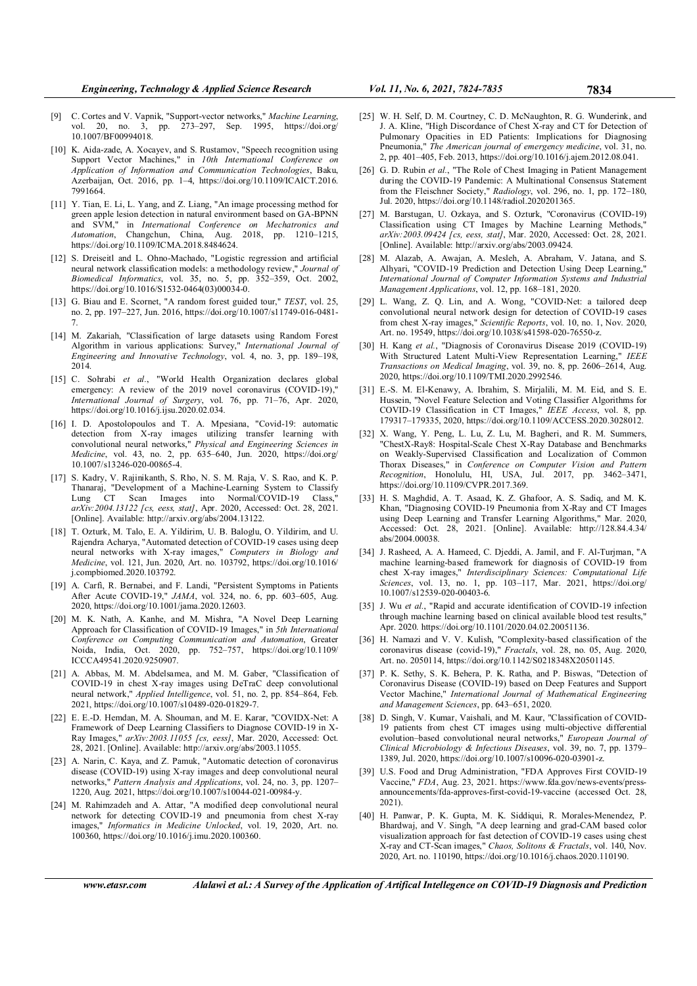- [9] C. Cortes and V. Vapnik, "Support-vector networks," Machine Learning, vol. 20, no. 3, pp. 273–297, Sep. 1995, https://doi.org/ 10.1007/BF00994018.
- [10] K. Aida-zade, A. Xocayev, and S. Rustamov, "Speech recognition using Support Vector Machines," in 10th International Conference on Application of Information and Communication Technologies, Baku, Azerbaijan, Oct. 2016, pp. 1–4, https://doi.org/10.1109/ICAICT.2016. 7991664.
- [11] Y. Tian, E. Li, L. Yang, and Z. Liang, "An image processing method for green apple lesion detection in natural environment based on GA-BPNN and SVM," in International Conference on Mechatronics and Automation, Changchun, China, Aug. 2018, pp. 1210–1215, https://doi.org/10.1109/ICMA.2018.8484624.
- [12] S. Dreiseitl and L. Ohno-Machado, "Logistic regression and artificial neural network classification models: a methodology review," Journal of Biomedical Informatics, vol. 35, no. 5, pp. 352–359, Oct. 2002, https://doi.org/10.1016/S1532-0464(03)00034-0.
- [13] G. Biau and E. Scornet, "A random forest guided tour," TEST, vol. 25, no. 2, pp. 197–227, Jun. 2016, https://doi.org/10.1007/s11749-016-0481- 7.
- [14] M. Zakariah, "Classification of large datasets using Random Forest Algorithm in various applications: Survey," International Journal of Engineering and Innovative Technology, vol. 4, no. 3, pp. 189–198, 2014.
- [15] C. Sohrabi et al., "World Health Organization declares global emergency: A review of the 2019 novel coronavirus (COVID-19)," International Journal of Surgery, vol. 76, pp. 71–76, Apr. 2020, https://doi.org/10.1016/j.ijsu.2020.02.034.
- [16] I. D. Apostolopoulos and T. A. Mpesiana, "Covid-19: automatic detection from X-ray images utilizing transfer learning with convolutional neural networks," Physical and Engineering Sciences in Medicine, vol. 43, no. 2, pp. 635–640, Jun. 2020, https://doi.org/ 10.1007/s13246-020-00865-4.
- [17] S. Kadry, V. Rajinikanth, S. Rho, N. S. M. Raja, V. S. Rao, and K. P. Thanaraj, "Development of a Machine-Learning System to Classify Lung CT Scan Images into Normal/COVID-19 Class, arXiv:2004.13122 [cs, eess, stat], Apr. 2020, Accessed: Oct. 28, 2021. [Online]. Available: http://arxiv.org/abs/2004.13122.
- [18] T. Ozturk, M. Talo, E. A. Yildirim, U. B. Baloglu, O. Yildirim, and U. Rajendra Acharya, "Automated detection of COVID-19 cases using deep neural networks with X-ray images," Computers in Biology and Medicine, vol. 121, Jun. 2020, Art. no. 103792, https://doi.org/10.1016/ j.compbiomed.2020.103792.
- [19] A. Carfì, R. Bernabei, and F. Landi, "Persistent Symptoms in Patients After Acute COVID-19," *JAMA*, vol. 324, no. 6, pp. 603–605, Aug. 2020, https://doi.org/10.1001/jama.2020.12603.
- [20] M. K. Nath, A. Kanhe, and M. Mishra, "A Novel Deep Learning Approach for Classification of COVID-19 Images," in 5th International Conference on Computing Communication and Automation, Greater Noida, India, Oct. 2020, pp. 752–757, https://doi.org/10.1109/ ICCCA49541.2020.9250907.
- [21] A. Abbas, M. M. Abdelsamea, and M. M. Gaber, "Classification of COVID-19 in chest X-ray images using DeTraC deep convolutional neural network," Applied Intelligence, vol. 51, no. 2, pp. 854–864, Feb. 2021, https://doi.org/10.1007/s10489-020-01829-7.
- [22] E. E.-D. Hemdan, M. A. Shouman, and M. E. Karar, "COVIDX-Net: A Framework of Deep Learning Classifiers to Diagnose COVID-19 in X-Ray Images," arXiv:2003.11055 [cs, eess], Mar. 2020, Accessed: Oct. 28, 2021. [Online]. Available: http://arxiv.org/abs/2003.11055.
- [23] A. Narin, C. Kaya, and Z. Pamuk, "Automatic detection of coronavirus disease (COVID-19) using X-ray images and deep convolutional neural networks," Pattern Analysis and Applications, vol. 24, no. 3, pp. 1207– 1220, Aug. 2021, https://doi.org/10.1007/s10044-021-00984-y.
- [24] M. Rahimzadeh and A. Attar, "A modified deep convolutional neural network for detecting COVID-19 and pneumonia from chest X-ray images," Informatics in Medicine Unlocked, vol. 19, 2020, Art. no. 100360, https://doi.org/10.1016/j.imu.2020.100360.
- [25] W. H. Self, D. M. Courtney, C. D. McNaughton, R. G. Wunderink, and J. A. Kline, "High Discordance of Chest X-ray and CT for Detection of Pulmonary Opacities in ED Patients: Implications for Diagnosing Pneumonia," The American journal of emergency medicine, vol. 31, no. 2, pp. 401–405, Feb. 2013, https://doi.org/10.1016/j.ajem.2012.08.041.
- [26] G. D. Rubin et al., "The Role of Chest Imaging in Patient Management during the COVID-19 Pandemic: A Multinational Consensus Statement from the Fleischner Society," Radiology, vol. 296, no. 1, pp. 172–180, Jul. 2020, https://doi.org/10.1148/radiol.2020201365.
- [27] M. Barstugan, U. Ozkaya, and S. Ozturk, "Coronavirus (COVID-19) Classification using CT Images by Machine Learning Methods," arXiv:2003.09424 [cs, eess, stat], Mar. 2020, Accessed: Oct. 28, 2021. [Online]. Available: http://arxiv.org/abs/2003.09424.
- [28] M. Alazab, A. Awajan, A. Mesleh, A. Abraham, V. Jatana, and S. Alhyari, "COVID-19 Prediction and Detection Using Deep Learning," International Journal of Computer Information Systems and Industrial Management Applications, vol. 12, pp. 168–181, 2020.
- [29] L. Wang, Z. Q. Lin, and A. Wong, "COVID-Net: a tailored deep convolutional neural network design for detection of COVID-19 cases from chest X-ray images," Scientific Reports, vol. 10, no. 1, Nov. 2020, Art. no. 19549, https://doi.org/10.1038/s41598-020-76550-z.
- [30] H. Kang et al., "Diagnosis of Coronavirus Disease 2019 (COVID-19) With Structured Latent Multi-View Representation Learning," IEEE Transactions on Medical Imaging, vol. 39, no. 8, pp. 2606–2614, Aug. 2020, https://doi.org/10.1109/TMI.2020.2992546.
- [31] E.-S. M. El-Kenawy, A. Ibrahim, S. Mirjalili, M. M. Eid, and S. E. Hussein, "Novel Feature Selection and Voting Classifier Algorithms for COVID-19 Classification in CT Images," IEEE Access, vol. 8, pp. 179317–179335, 2020, https://doi.org/10.1109/ACCESS.2020.3028012.
- [32] X. Wang, Y. Peng, L. Lu, Z. Lu, M. Bagheri, and R. M. Summers, "ChestX-Ray8: Hospital-Scale Chest X-Ray Database and Benchmarks on Weakly-Supervised Classification and Localization of Common Thorax Diseases," in Conference on Computer Vision and Pattern Recognition, Honolulu, HI, USA, Jul. 2017, pp. 3462–3471, https://doi.org/10.1109/CVPR.2017.369.
- [33] H. S. Maghdid, A. T. Asaad, K. Z. Ghafoor, A. S. Sadiq, and M. K. Khan, "Diagnosing COVID-19 Pneumonia from X-Ray and CT Images using Deep Learning and Transfer Learning Algorithms," Mar. 2020, Accessed: Oct. 28, 2021. [Online]. Available: http://128.84.4.34/ abs/2004.00038.
- [34] J. Rasheed, A. A. Hameed, C. Djeddi, A. Jamil, and F. Al-Turjman, "A machine learning-based framework for diagnosis of COVID-19 from chest X-ray images," Interdisciplinary Sciences: Computational Life Sciences, vol. 13, no. 1, pp. 103-117, Mar. 2021, https://doi.org/ 10.1007/s12539-020-00403-6.
- [35] J. Wu et al., "Rapid and accurate identification of COVID-19 infection through machine learning based on clinical available blood test results," Apr. 2020. https://doi.org/10.1101/2020.04.02.20051136.
- [36] H. Namazi and V. V. Kulish, "Complexity-based classification of the coronavirus disease (covid-19)," Fractals, vol. 28, no. 05, Aug. 2020, Art. no. 2050114, https://doi.org/10.1142/S0218348X20501145.
- [37] P. K. Sethy, S. K. Behera, P. K. Ratha, and P. Biswas, "Detection of Coronavirus Disease (COVID-19) based on Deep Features and Support Vector Machine," International Journal of Mathematical Engineering and Management Sciences, pp. 643–651, 2020.
- [38] D. Singh, V. Kumar, Vaishali, and M. Kaur, "Classification of COVID-19 patients from chest CT images using multi-objective differential evolution–based convolutional neural networks," European Journal of Clinical Microbiology & Infectious Diseases, vol. 39, no. 7, pp. 1379– 1389, Jul. 2020, https://doi.org/10.1007/s10096-020-03901-z.
- [39] U.S. Food and Drug Administration, "FDA Approves First COVID-19 Vaccine," FDA, Aug. 23, 2021. https://www.fda.gov/news-events/pressannouncements/fda-approves-first-covid-19-vaccine (accessed Oct. 28, 2021).
- [40] H. Panwar, P. K. Gupta, M. K. Siddiqui, R. Morales-Menendez, P. Bhardwaj, and V. Singh, "A deep learning and grad-CAM based color visualization approach for fast detection of COVID-19 cases using chest X-ray and CT-Scan images," Chaos, Solitons & Fractals, vol. 140, Nov. 2020, Art. no. 110190, https://doi.org/10.1016/j.chaos.2020.110190.